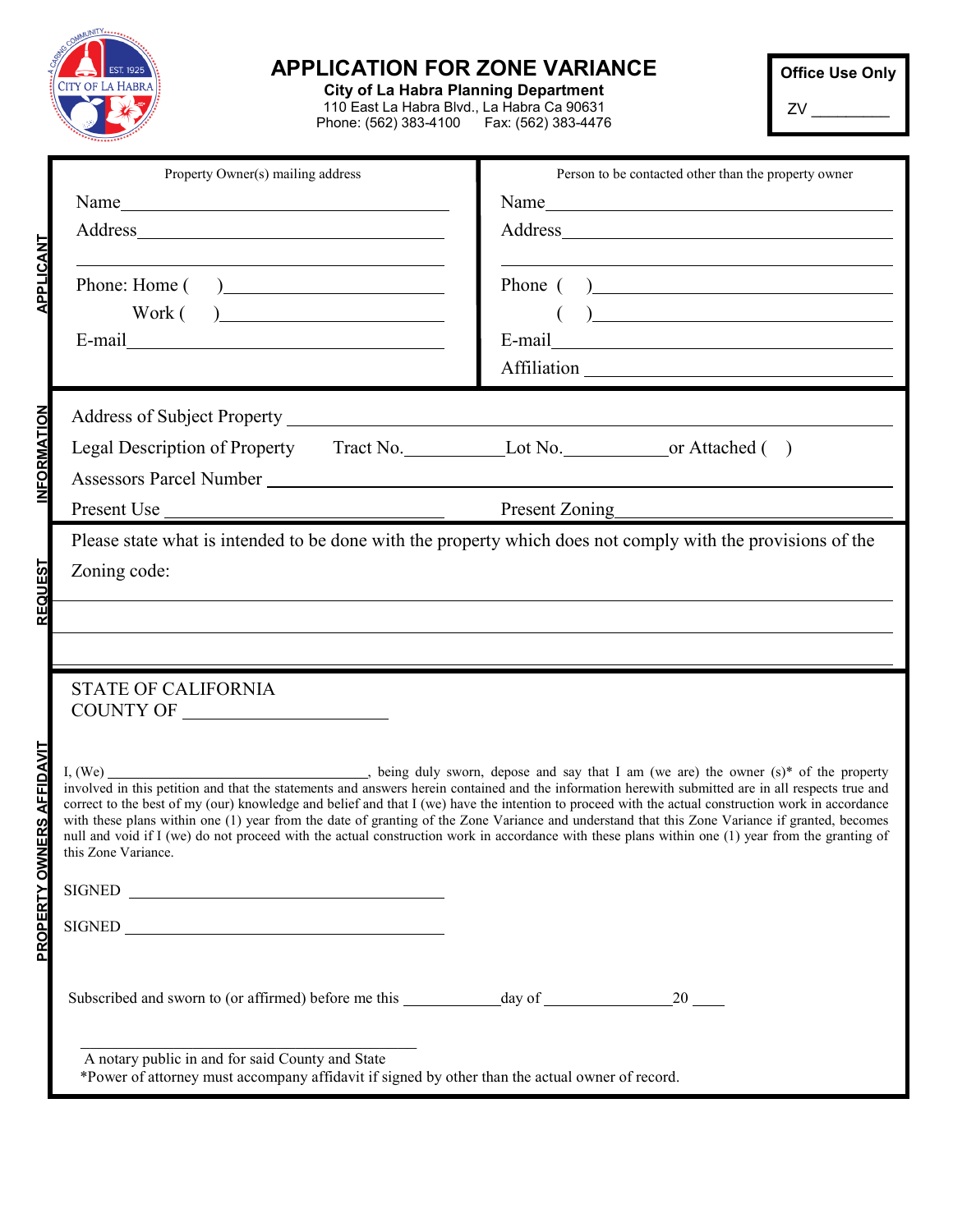|                                  | <b>APPLICATION FOR ZONE VARIANCE</b><br>EST. 1925<br><b>CITY OF LA HABRA</b><br><b>City of La Habra Planning Department</b><br>110 East La Habra Blvd., La Habra Ca 90631<br>Phone: (562) 383-4100   Fax: (562) 383-4476                                                                                                                                                                                                                                                                                                |                                                                                                                                                                                                                                                                                       | <b>Office Use Only</b> |
|----------------------------------|-------------------------------------------------------------------------------------------------------------------------------------------------------------------------------------------------------------------------------------------------------------------------------------------------------------------------------------------------------------------------------------------------------------------------------------------------------------------------------------------------------------------------|---------------------------------------------------------------------------------------------------------------------------------------------------------------------------------------------------------------------------------------------------------------------------------------|------------------------|
| <b>APPLICANT</b>                 | Property Owner(s) mailing address<br>the control of the control of the control of the control of the control of the control of the control of the control of the control of the control of the control of the control of the control of the control of the control                                                                                                                                                                                                                                                      | Person to be contacted other than the property owner<br>the control of the control of the control of the control of the control of the control of the control of the control of the control of the control of the control of the control of the control of the control of the control |                        |
|                                  | Phone: Home ()<br>$Work( ) \underline{\hspace{2cm}}$                                                                                                                                                                                                                                                                                                                                                                                                                                                                    | Phone ()<br>$\begin{pmatrix} 1 & 1 \\ 1 & 1 \end{pmatrix}$                                                                                                                                                                                                                            |                        |
| <b>INFORMATION</b>               | Legal Description of Property Tract No. Lot No. 1997 Lot No. 1997 Or Attached ()<br>Assessors Parcel Number                                                                                                                                                                                                                                                                                                                                                                                                             |                                                                                                                                                                                                                                                                                       |                        |
| <b>REQUEST</b>                   | Present Use Present Zoning Present Zoning<br>Please state what is intended to be done with the property which does not comply with the provisions of the<br>Zoning code:                                                                                                                                                                                                                                                                                                                                                |                                                                                                                                                                                                                                                                                       |                        |
| <b>PROPERTY OWNERS AFFIDAVIT</b> | <b>STATE OF CALIFORNIA</b><br>correct to the best of my (our) knowledge and belief and that I (we) have the intention to proceed with the actual construction work in accordance<br>with these plans within one (1) year from the date of granting of the Zone Variance and understand that this Zone Variance if granted, becomes<br>null and void if I (we) do not proceed with the actual construction work in accordance with these plans within one (1) year from the granting of<br>this Zone Variance.<br>SIGNED |                                                                                                                                                                                                                                                                                       |                        |
|                                  | A notary public in and for said County and State<br>*Power of attorney must accompany affidavit if signed by other than the actual owner of record.                                                                                                                                                                                                                                                                                                                                                                     |                                                                                                                                                                                                                                                                                       |                        |